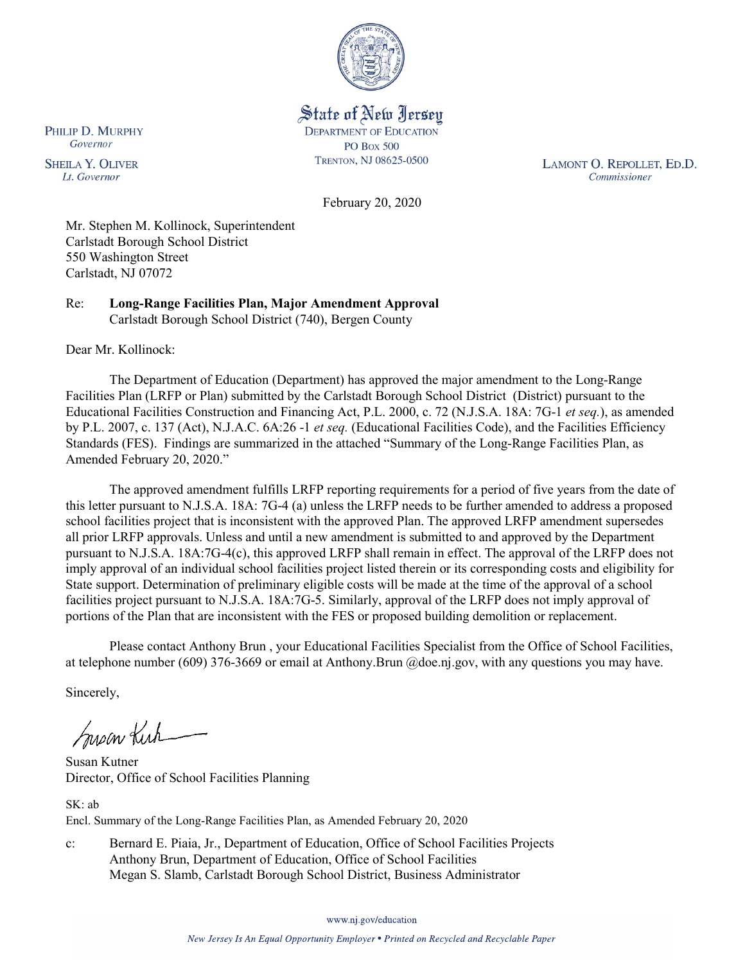

State of New Jersey **DEPARTMENT OF EDUCATION PO Box 500** TRENTON, NJ 08625-0500

LAMONT O. REPOLLET, ED.D. Commissioner

February 20, 2020

Mr. Stephen M. Kollinock, Superintendent Carlstadt Borough School District 550 Washington Street Carlstadt, NJ 07072

Re: **Long-Range Facilities Plan, Major Amendment Approval** Carlstadt Borough School District (740), Bergen County

Dear Mr. Kollinock:

The Department of Education (Department) has approved the major amendment to the Long-Range Facilities Plan (LRFP or Plan) submitted by the Carlstadt Borough School District (District) pursuant to the Educational Facilities Construction and Financing Act, P.L. 2000, c. 72 (N.J.S.A. 18A: 7G-1 *et seq.*), as amended by P.L. 2007, c. 137 (Act), N.J.A.C. 6A:26 -1 *et seq.* (Educational Facilities Code), and the Facilities Efficiency Standards (FES). Findings are summarized in the attached "Summary of the Long-Range Facilities Plan, as Amended February 20, 2020."

The approved amendment fulfills LRFP reporting requirements for a period of five years from the date of this letter pursuant to N.J.S.A. 18A: 7G-4 (a) unless the LRFP needs to be further amended to address a proposed school facilities project that is inconsistent with the approved Plan. The approved LRFP amendment supersedes all prior LRFP approvals. Unless and until a new amendment is submitted to and approved by the Department pursuant to N.J.S.A. 18A:7G-4(c), this approved LRFP shall remain in effect. The approval of the LRFP does not imply approval of an individual school facilities project listed therein or its corresponding costs and eligibility for State support. Determination of preliminary eligible costs will be made at the time of the approval of a school facilities project pursuant to N.J.S.A. 18A:7G-5. Similarly, approval of the LRFP does not imply approval of portions of the Plan that are inconsistent with the FES or proposed building demolition or replacement.

Please contact Anthony Brun , your Educational Facilities Specialist from the Office of School Facilities, at telephone number (609) 376-3669 or email at Anthony.Brun @doe.nj.gov, with any questions you may have.

Sincerely,

Susan Kich

Susan Kutner Director, Office of School Facilities Planning

SK: ab Encl. Summary of the Long-Range Facilities Plan, as Amended February 20, 2020

c: Bernard E. Piaia, Jr., Department of Education, Office of School Facilities Projects Anthony Brun, Department of Education, Office of School Facilities Megan S. Slamb, Carlstadt Borough School District, Business Administrator

www.nj.gov/education

PHILIP D. MURPHY Governor

**SHEILA Y. OLIVER** Lt. Governor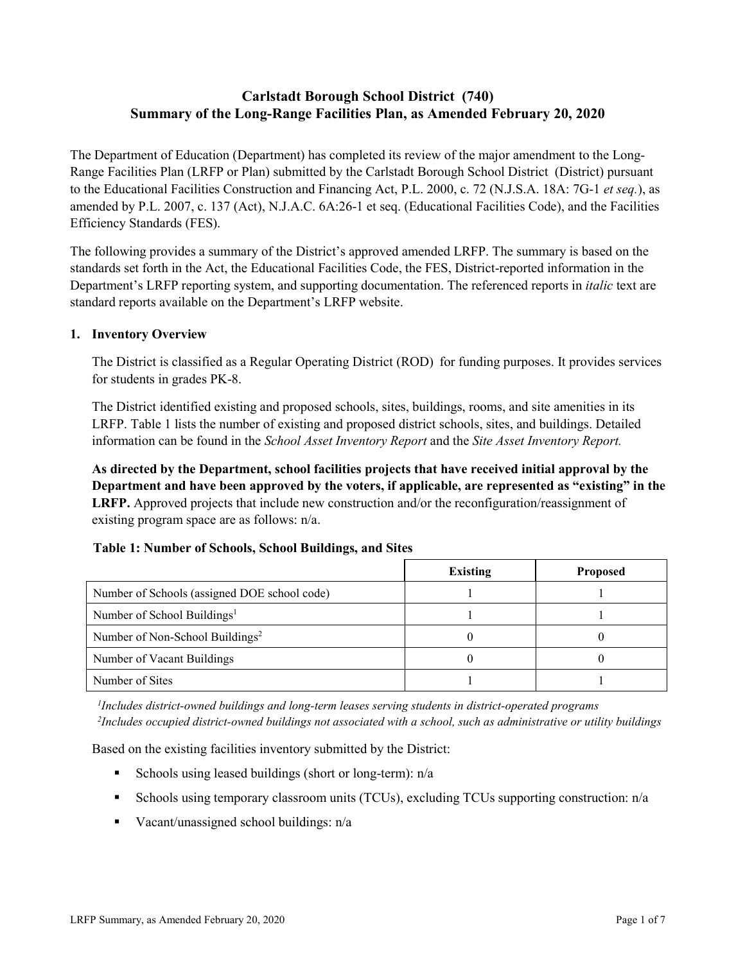# **Carlstadt Borough School District (740) Summary of the Long-Range Facilities Plan, as Amended February 20, 2020**

The Department of Education (Department) has completed its review of the major amendment to the Long-Range Facilities Plan (LRFP or Plan) submitted by the Carlstadt Borough School District (District) pursuant to the Educational Facilities Construction and Financing Act, P.L. 2000, c. 72 (N.J.S.A. 18A: 7G-1 *et seq.*), as amended by P.L. 2007, c. 137 (Act), N.J.A.C. 6A:26-1 et seq. (Educational Facilities Code), and the Facilities Efficiency Standards (FES).

The following provides a summary of the District's approved amended LRFP. The summary is based on the standards set forth in the Act, the Educational Facilities Code, the FES, District-reported information in the Department's LRFP reporting system, and supporting documentation. The referenced reports in *italic* text are standard reports available on the Department's LRFP website.

#### **1. Inventory Overview**

The District is classified as a Regular Operating District (ROD) for funding purposes. It provides services for students in grades PK-8.

The District identified existing and proposed schools, sites, buildings, rooms, and site amenities in its LRFP. Table 1 lists the number of existing and proposed district schools, sites, and buildings. Detailed information can be found in the *School Asset Inventory Report* and the *Site Asset Inventory Report.*

**As directed by the Department, school facilities projects that have received initial approval by the Department and have been approved by the voters, if applicable, are represented as "existing" in the LRFP.** Approved projects that include new construction and/or the reconfiguration/reassignment of existing program space are as follows: n/a.

# **Table 1: Number of Schools, School Buildings, and Sites**

|                                              | <b>Existing</b> | <b>Proposed</b> |
|----------------------------------------------|-----------------|-----------------|
| Number of Schools (assigned DOE school code) |                 |                 |
| Number of School Buildings <sup>1</sup>      |                 |                 |
| Number of Non-School Buildings <sup>2</sup>  |                 |                 |
| Number of Vacant Buildings                   |                 |                 |
| Number of Sites                              |                 |                 |

*1 Includes district-owned buildings and long-term leases serving students in district-operated programs 2 Includes occupied district-owned buildings not associated with a school, such as administrative or utility buildings*

Based on the existing facilities inventory submitted by the District:

- Schools using leased buildings (short or long-term):  $n/a$
- Schools using temporary classroom units (TCUs), excluding TCUs supporting construction: n/a
- Vacant/unassigned school buildings:  $n/a$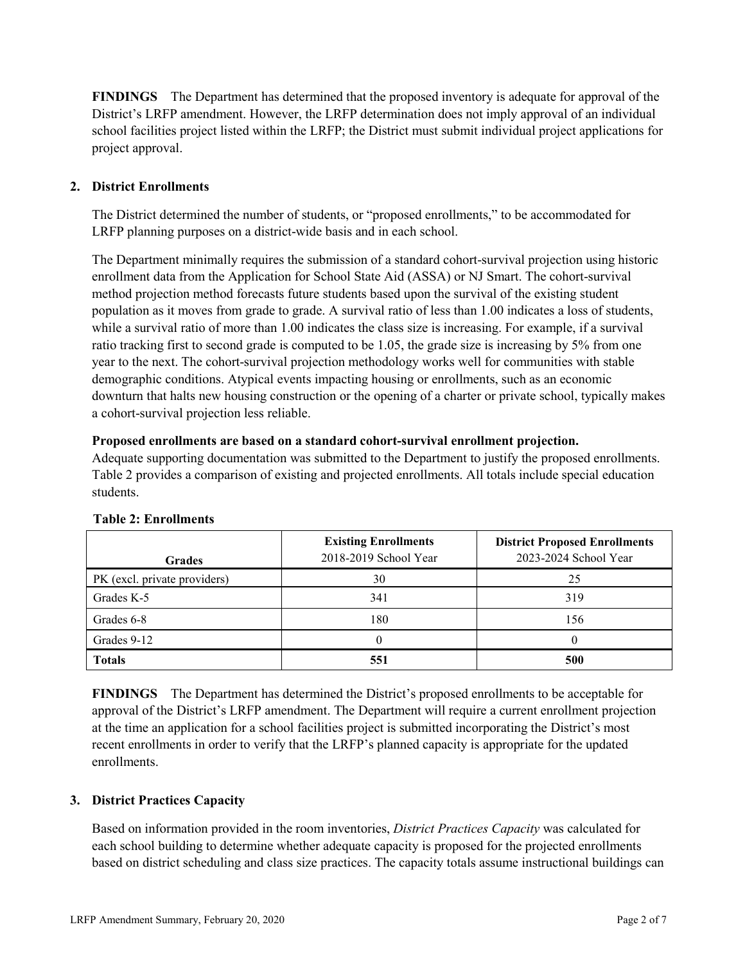**FINDINGS** The Department has determined that the proposed inventory is adequate for approval of the District's LRFP amendment. However, the LRFP determination does not imply approval of an individual school facilities project listed within the LRFP; the District must submit individual project applications for project approval.

# **2. District Enrollments**

The District determined the number of students, or "proposed enrollments," to be accommodated for LRFP planning purposes on a district-wide basis and in each school.

The Department minimally requires the submission of a standard cohort-survival projection using historic enrollment data from the Application for School State Aid (ASSA) or NJ Smart. The cohort-survival method projection method forecasts future students based upon the survival of the existing student population as it moves from grade to grade. A survival ratio of less than 1.00 indicates a loss of students, while a survival ratio of more than 1.00 indicates the class size is increasing. For example, if a survival ratio tracking first to second grade is computed to be 1.05, the grade size is increasing by 5% from one year to the next. The cohort-survival projection methodology works well for communities with stable demographic conditions. Atypical events impacting housing or enrollments, such as an economic downturn that halts new housing construction or the opening of a charter or private school, typically makes a cohort-survival projection less reliable.

#### **Proposed enrollments are based on a standard cohort-survival enrollment projection.**

Adequate supporting documentation was submitted to the Department to justify the proposed enrollments. Table 2 provides a comparison of existing and projected enrollments. All totals include special education students.

| <b>Grades</b>                | <b>Existing Enrollments</b><br>2018-2019 School Year | <b>District Proposed Enrollments</b><br>2023-2024 School Year |
|------------------------------|------------------------------------------------------|---------------------------------------------------------------|
| PK (excl. private providers) | 30                                                   | 25                                                            |
| Grades K-5                   | 341                                                  | 319                                                           |
| Grades 6-8                   | 180                                                  | 156                                                           |
| Grades 9-12                  |                                                      |                                                               |
| <b>Totals</b>                | 551                                                  | 500                                                           |

# **Table 2: Enrollments**

**FINDINGS** The Department has determined the District's proposed enrollments to be acceptable for approval of the District's LRFP amendment. The Department will require a current enrollment projection at the time an application for a school facilities project is submitted incorporating the District's most recent enrollments in order to verify that the LRFP's planned capacity is appropriate for the updated enrollments.

# **3. District Practices Capacity**

Based on information provided in the room inventories, *District Practices Capacity* was calculated for each school building to determine whether adequate capacity is proposed for the projected enrollments based on district scheduling and class size practices. The capacity totals assume instructional buildings can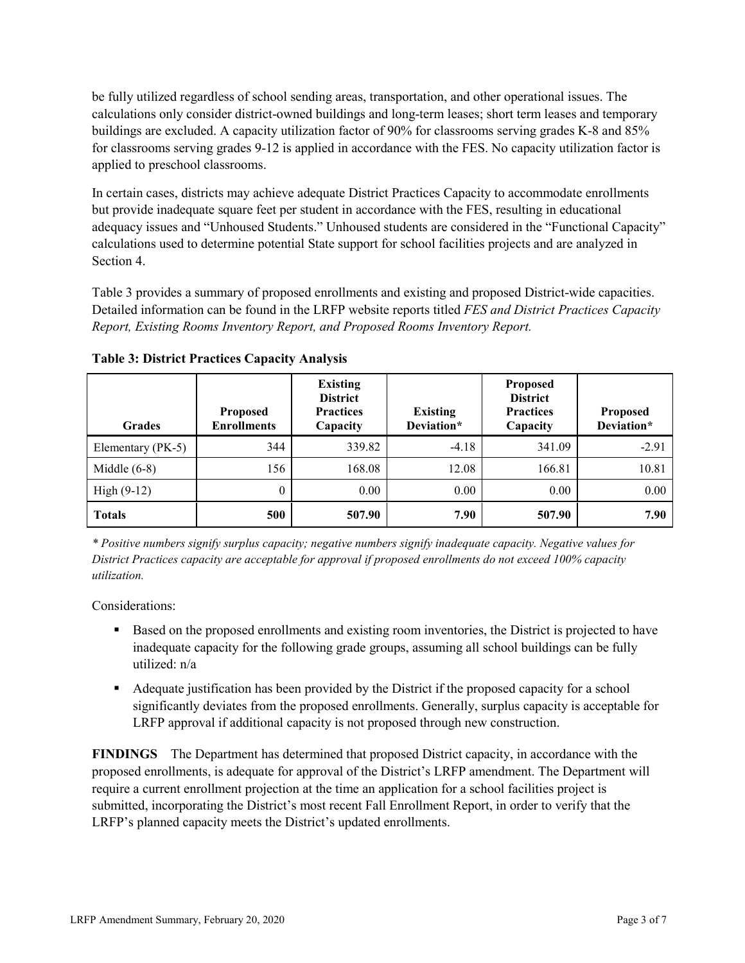be fully utilized regardless of school sending areas, transportation, and other operational issues. The calculations only consider district-owned buildings and long-term leases; short term leases and temporary buildings are excluded. A capacity utilization factor of 90% for classrooms serving grades K-8 and 85% for classrooms serving grades 9-12 is applied in accordance with the FES. No capacity utilization factor is applied to preschool classrooms.

In certain cases, districts may achieve adequate District Practices Capacity to accommodate enrollments but provide inadequate square feet per student in accordance with the FES, resulting in educational adequacy issues and "Unhoused Students." Unhoused students are considered in the "Functional Capacity" calculations used to determine potential State support for school facilities projects and are analyzed in Section 4.

Table 3 provides a summary of proposed enrollments and existing and proposed District-wide capacities. Detailed information can be found in the LRFP website reports titled *FES and District Practices Capacity Report, Existing Rooms Inventory Report, and Proposed Rooms Inventory Report.*

| <b>Grades</b>     | <b>Proposed</b><br><b>Enrollments</b> | <b>Existing</b><br><b>District</b><br><b>Practices</b><br>Capacity | <b>Existing</b><br>Deviation* | <b>Proposed</b><br><b>District</b><br><b>Practices</b><br>Capacity | <b>Proposed</b><br>Deviation* |
|-------------------|---------------------------------------|--------------------------------------------------------------------|-------------------------------|--------------------------------------------------------------------|-------------------------------|
| Elementary (PK-5) | 344                                   | 339.82                                                             | $-4.18$                       | 341.09                                                             | $-2.91$                       |
| Middle $(6-8)$    | 156                                   | 168.08                                                             | 12.08                         | 166.81                                                             | 10.81                         |
| High $(9-12)$     | $\theta$                              | 0.00                                                               | 0.00                          | 0.00                                                               | 0.00                          |
| <b>Totals</b>     | 500                                   | 507.90                                                             | 7.90                          | 507.90                                                             | 7.90                          |

**Table 3: District Practices Capacity Analysis**

*\* Positive numbers signify surplus capacity; negative numbers signify inadequate capacity. Negative values for District Practices capacity are acceptable for approval if proposed enrollments do not exceed 100% capacity utilization.*

Considerations:

- **Based on the proposed enrollments and existing room inventories, the District is projected to have** inadequate capacity for the following grade groups, assuming all school buildings can be fully utilized: n/a
- Adequate justification has been provided by the District if the proposed capacity for a school significantly deviates from the proposed enrollments. Generally, surplus capacity is acceptable for LRFP approval if additional capacity is not proposed through new construction.

**FINDINGS**The Department has determined that proposed District capacity, in accordance with the proposed enrollments, is adequate for approval of the District's LRFP amendment. The Department will require a current enrollment projection at the time an application for a school facilities project is submitted, incorporating the District's most recent Fall Enrollment Report, in order to verify that the LRFP's planned capacity meets the District's updated enrollments.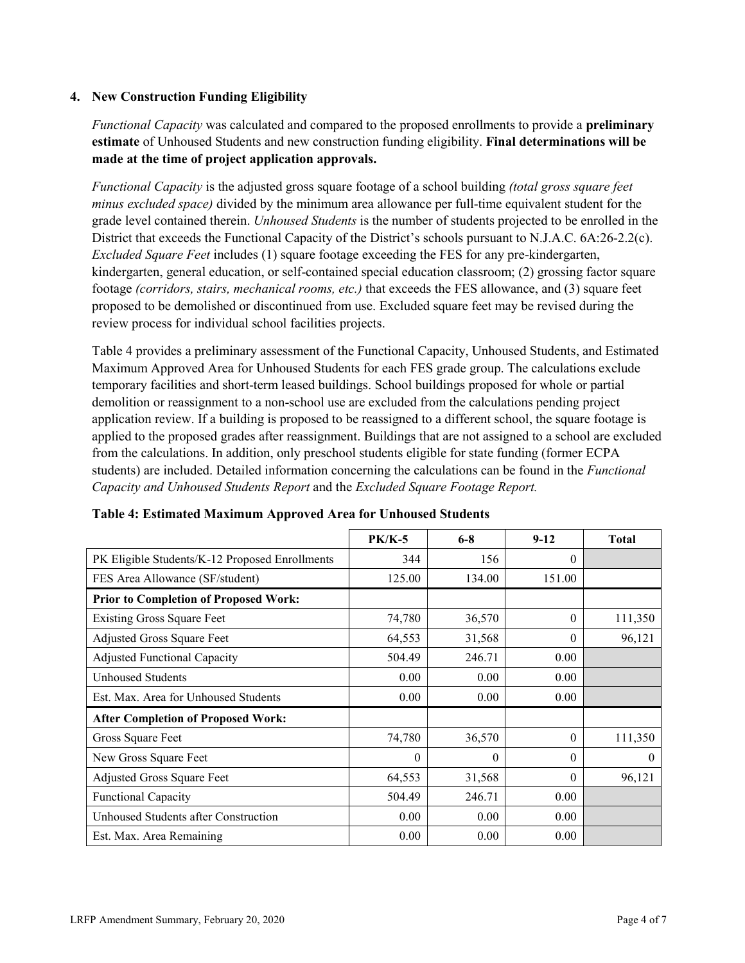#### **4. New Construction Funding Eligibility**

*Functional Capacity* was calculated and compared to the proposed enrollments to provide a **preliminary estimate** of Unhoused Students and new construction funding eligibility. **Final determinations will be made at the time of project application approvals.**

*Functional Capacity* is the adjusted gross square footage of a school building *(total gross square feet minus excluded space)* divided by the minimum area allowance per full-time equivalent student for the grade level contained therein. *Unhoused Students* is the number of students projected to be enrolled in the District that exceeds the Functional Capacity of the District's schools pursuant to N.J.A.C. 6A:26-2.2(c). *Excluded Square Feet* includes (1) square footage exceeding the FES for any pre-kindergarten, kindergarten, general education, or self-contained special education classroom; (2) grossing factor square footage *(corridors, stairs, mechanical rooms, etc.)* that exceeds the FES allowance, and (3) square feet proposed to be demolished or discontinued from use. Excluded square feet may be revised during the review process for individual school facilities projects.

Table 4 provides a preliminary assessment of the Functional Capacity, Unhoused Students, and Estimated Maximum Approved Area for Unhoused Students for each FES grade group. The calculations exclude temporary facilities and short-term leased buildings. School buildings proposed for whole or partial demolition or reassignment to a non-school use are excluded from the calculations pending project application review. If a building is proposed to be reassigned to a different school, the square footage is applied to the proposed grades after reassignment. Buildings that are not assigned to a school are excluded from the calculations. In addition, only preschool students eligible for state funding (former ECPA students) are included. Detailed information concerning the calculations can be found in the *Functional Capacity and Unhoused Students Report* and the *Excluded Square Footage Report.*

|                                                | <b>PK/K-5</b> | $6 - 8$  | $9 - 12$ | <b>Total</b> |
|------------------------------------------------|---------------|----------|----------|--------------|
| PK Eligible Students/K-12 Proposed Enrollments | 344           | 156      | $\theta$ |              |
| FES Area Allowance (SF/student)                | 125.00        | 134.00   | 151.00   |              |
| <b>Prior to Completion of Proposed Work:</b>   |               |          |          |              |
| <b>Existing Gross Square Feet</b>              | 74,780        | 36,570   | $\theta$ | 111,350      |
| Adjusted Gross Square Feet                     | 64,553        | 31,568   | $\theta$ | 96,121       |
| <b>Adjusted Functional Capacity</b>            | 504.49        | 246.71   | 0.00     |              |
| <b>Unhoused Students</b>                       | 0.00          | 0.00     | 0.00     |              |
| Est. Max. Area for Unhoused Students           | 0.00          | 0.00     | 0.00     |              |
| <b>After Completion of Proposed Work:</b>      |               |          |          |              |
| Gross Square Feet                              | 74,780        | 36,570   | $\theta$ | 111,350      |
| New Gross Square Feet                          | $\theta$      | $\theta$ | $\Omega$ | $\theta$     |
| Adjusted Gross Square Feet                     | 64,553        | 31,568   | $\Omega$ | 96,121       |
| <b>Functional Capacity</b>                     | 504.49        | 246.71   | 0.00     |              |
| Unhoused Students after Construction           | 0.00          | 0.00     | 0.00     |              |
| Est. Max. Area Remaining                       | 0.00          | 0.00     | 0.00     |              |

**Table 4: Estimated Maximum Approved Area for Unhoused Students**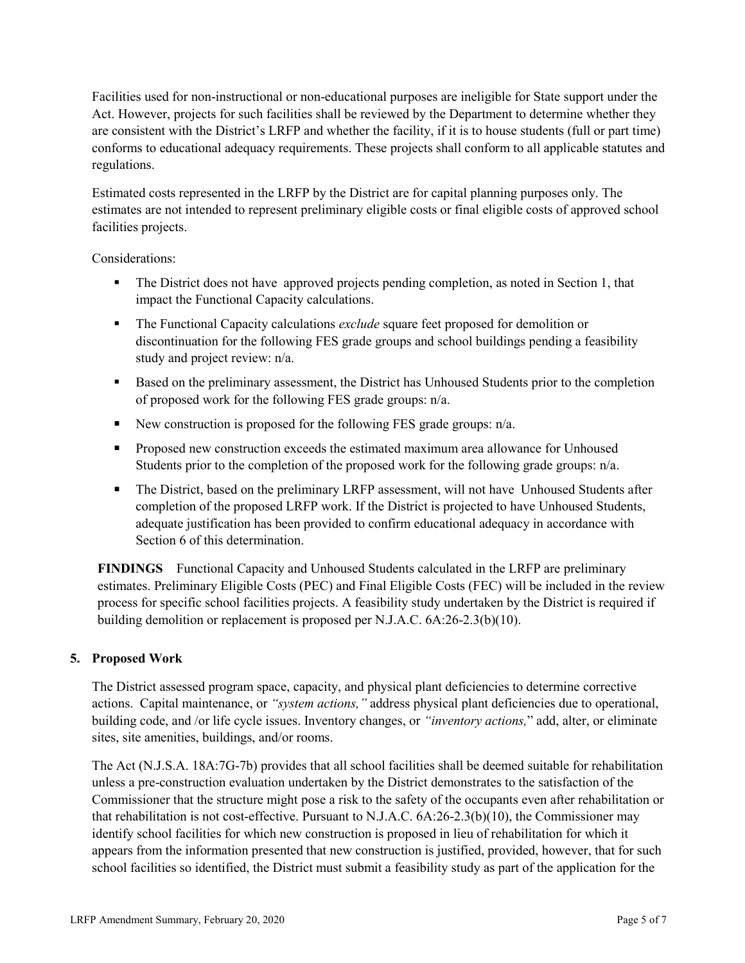Facilities used for non-instructional or non-educational purposes are ineligible for State support under the Act. However, projects for such facilities shall be reviewed by the Department to determine whether they are consistent with the District's LRFP and whether the facility, if it is to house students (full or part time) conforms to educational adequacy requirements. These projects shall conform to all applicable statutes and regulations.

Estimated costs represented in the LRFP by the District are for capital planning purposes only. The estimates are not intended to represent preliminary eligible costs or final eligible costs of approved school facilities projects.

Considerations:

- The District does not have approved projects pending completion, as noted in Section 1, that impact the Functional Capacity calculations.
- The Functional Capacity calculations *exclude* square feet proposed for demolition or discontinuation for the following FES grade groups and school buildings pending a feasibility study and project review: n/a.
- Based on the preliminary assessment, the District has Unhoused Students prior to the completion of proposed work for the following FES grade groups: n/a.
- New construction is proposed for the following FES grade groups:  $n/a$ .
- **Proposed new construction exceeds the estimated maximum area allowance for Unhoused** Students prior to the completion of the proposed work for the following grade groups: n/a.
- The District, based on the preliminary LRFP assessment, will not have Unhoused Students after completion of the proposed LRFP work. If the District is projected to have Unhoused Students, adequate justification has been provided to confirm educational adequacy in accordance with Section 6 of this determination.

**FINDINGS** Functional Capacity and Unhoused Students calculated in the LRFP are preliminary estimates. Preliminary Eligible Costs (PEC) and Final Eligible Costs (FEC) will be included in the review process for specific school facilities projects. A feasibility study undertaken by the District is required if building demolition or replacement is proposed per N.J.A.C. 6A:26-2.3(b)(10).

# **5. Proposed Work**

The District assessed program space, capacity, and physical plant deficiencies to determine corrective actions. Capital maintenance, or *"system actions,"* address physical plant deficiencies due to operational, building code, and /or life cycle issues. Inventory changes, or *"inventory actions,*" add, alter, or eliminate sites, site amenities, buildings, and/or rooms.

The Act (N.J.S.A. 18A:7G-7b) provides that all school facilities shall be deemed suitable for rehabilitation unless a pre-construction evaluation undertaken by the District demonstrates to the satisfaction of the Commissioner that the structure might pose a risk to the safety of the occupants even after rehabilitation or that rehabilitation is not cost-effective. Pursuant to N.J.A.C. 6A:26-2.3(b)(10), the Commissioner may identify school facilities for which new construction is proposed in lieu of rehabilitation for which it appears from the information presented that new construction is justified, provided, however, that for such school facilities so identified, the District must submit a feasibility study as part of the application for the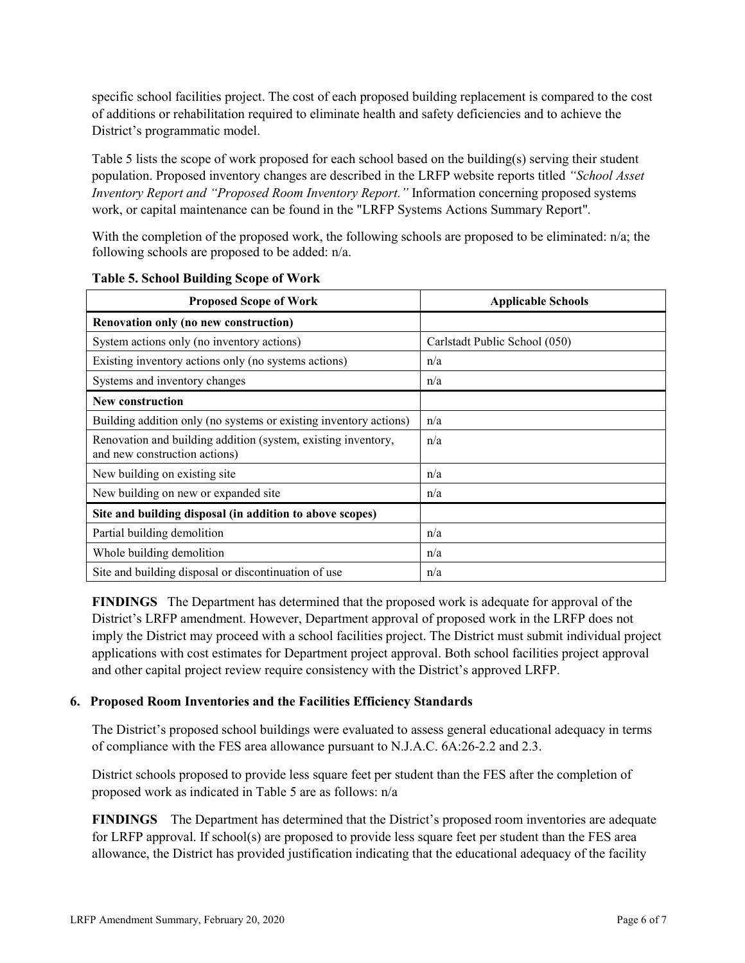specific school facilities project. The cost of each proposed building replacement is compared to the cost of additions or rehabilitation required to eliminate health and safety deficiencies and to achieve the District's programmatic model.

Table 5 lists the scope of work proposed for each school based on the building(s) serving their student population. Proposed inventory changes are described in the LRFP website reports titled *"School Asset Inventory Report and "Proposed Room Inventory Report."* Information concerning proposed systems work, or capital maintenance can be found in the "LRFP Systems Actions Summary Report".

With the completion of the proposed work, the following schools are proposed to be eliminated: n/a; the following schools are proposed to be added: n/a.

| <b>Proposed Scope of Work</b>                                                                  | <b>Applicable Schools</b>     |
|------------------------------------------------------------------------------------------------|-------------------------------|
| Renovation only (no new construction)                                                          |                               |
| System actions only (no inventory actions)                                                     | Carlstadt Public School (050) |
| Existing inventory actions only (no systems actions)                                           | n/a                           |
| Systems and inventory changes                                                                  | n/a                           |
| <b>New construction</b>                                                                        |                               |
| Building addition only (no systems or existing inventory actions)                              | n/a                           |
| Renovation and building addition (system, existing inventory,<br>and new construction actions) | n/a                           |
| New building on existing site                                                                  | n/a                           |
| New building on new or expanded site                                                           | n/a                           |
| Site and building disposal (in addition to above scopes)                                       |                               |
| Partial building demolition                                                                    | n/a                           |
| Whole building demolition                                                                      | n/a                           |
| Site and building disposal or discontinuation of use                                           | n/a                           |

**Table 5. School Building Scope of Work**

**FINDINGS** The Department has determined that the proposed work is adequate for approval of the District's LRFP amendment. However, Department approval of proposed work in the LRFP does not imply the District may proceed with a school facilities project. The District must submit individual project applications with cost estimates for Department project approval. Both school facilities project approval and other capital project review require consistency with the District's approved LRFP.

#### **6. Proposed Room Inventories and the Facilities Efficiency Standards**

The District's proposed school buildings were evaluated to assess general educational adequacy in terms of compliance with the FES area allowance pursuant to N.J.A.C. 6A:26-2.2 and 2.3.

District schools proposed to provide less square feet per student than the FES after the completion of proposed work as indicated in Table 5 are as follows: n/a

**FINDINGS** The Department has determined that the District's proposed room inventories are adequate for LRFP approval. If school(s) are proposed to provide less square feet per student than the FES area allowance, the District has provided justification indicating that the educational adequacy of the facility